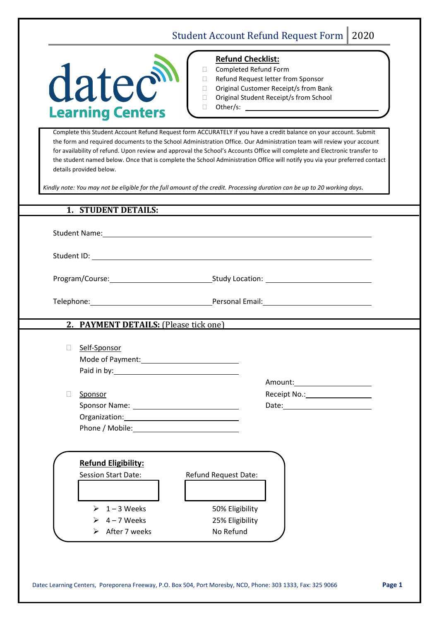## Student Account Refund Request Form | 2020



## **Refund Checklist:**

|  | Completed Refund Form |
|--|-----------------------|
|--|-----------------------|

- □ Refund Request letter from Sponsor
- □ Original Customer Receipt/s from Bank
- □ Original Student Receipt/s from School
- □ Other/s: \_\_

Complete this Student Account Refund Request form ACCURATELY if you have a credit balance on your account. Submit the form and required documents to the School Administration Office. Our Administration team will review your account for availability of refund. Upon review and approval the School's Accounts Office will complete and Electronic transfer to the student named below. Once that is complete the School Administration Office will notify you via your preferred contact details provided below.

*Kindly note: You may not be eligible for the full amount of the credit. Processing duration can be up to 20 working days.*

## **1. STUDENT DETAILS:**

Student Name:

Student ID: Letter and the student state of the state of the state of the state of the state of the state of the state of the state of the state of the state of the state of the state of the state of the state of the state

Program/Course: Study Location:

Telephone: Telephone: Personal Email:

**2. PAYMENT DETAILS:** (Please tick one)

| $\Box$ Self-Sponsor |
|---------------------|
| Mode of Payment:    |
| Paid in by:         |

 $\Box$  Sponsor Sponsor Name: Name: Date: Date: Date: Date: Date: Date: Date: Date: Date: Date: Date: Date: Date: Date: Date:  $\sim$  Date:  $\sim$  Date:  $\sim$  Date:  $\sim$  Date:  $\sim$  Date:  $\sim$  Date:  $\sim$  Date:  $\sim$  Date:  $\sim$  Date:  $\sim$  Date:  $\$ Organization: Phone / Mobile:

| Amount:      |  |
|--------------|--|
| Receipt No.: |  |

| <b>Refund Eligibility:</b> |                      |
|----------------------------|----------------------|
| <b>Session Start Date:</b> | Refund Request Date: |
|                            |                      |
|                            |                      |
| $\geq 1 - 3$ Weeks         | 50% Eligibility      |
| 4 – 7 Weeks                | 25% Eligibility      |
| After 7 weeks              | No Refund            |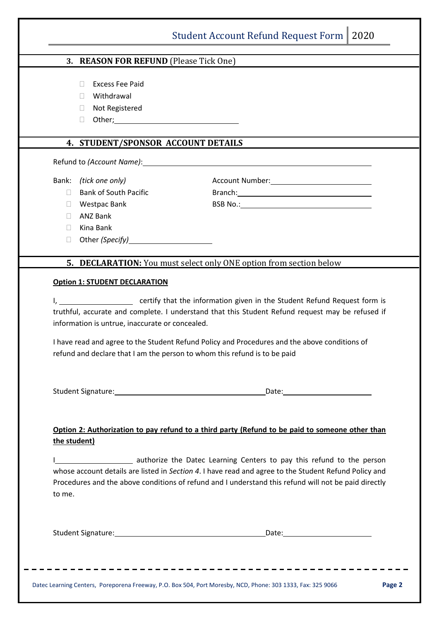|              | 3. REASON FOR REFUND (Please Tick One)          |                                                                                                                                                                                                                                                                                                                                                                                                                                                                                                 |
|--------------|-------------------------------------------------|-------------------------------------------------------------------------------------------------------------------------------------------------------------------------------------------------------------------------------------------------------------------------------------------------------------------------------------------------------------------------------------------------------------------------------------------------------------------------------------------------|
|              | <b>Excess Fee Paid</b><br>П                     |                                                                                                                                                                                                                                                                                                                                                                                                                                                                                                 |
|              | Withdrawal<br>$\mathbb{R}^n$                    |                                                                                                                                                                                                                                                                                                                                                                                                                                                                                                 |
|              | Not Registered<br>$\mathbf{L}$                  |                                                                                                                                                                                                                                                                                                                                                                                                                                                                                                 |
|              | $\Box$                                          |                                                                                                                                                                                                                                                                                                                                                                                                                                                                                                 |
|              |                                                 |                                                                                                                                                                                                                                                                                                                                                                                                                                                                                                 |
|              | 4. STUDENT/SPONSOR ACCOUNT DETAILS              |                                                                                                                                                                                                                                                                                                                                                                                                                                                                                                 |
|              |                                                 | Refund to (Account Name): Manual Contract Contract Contract Contract Contract Contract Contract Contract Contract Contract Contract Contract Contract Contract Contract Contract Contract Contract Contract Contract Contract                                                                                                                                                                                                                                                                   |
|              | Bank: (tick one only)                           |                                                                                                                                                                                                                                                                                                                                                                                                                                                                                                 |
| П.           | <b>Bank of South Pacific</b>                    | Branch: example and a series of the series of the series of the series of the series of the series of the series of the series of the series of the series of the series of the series of the series of the series of the seri                                                                                                                                                                                                                                                                  |
| $\Box$       | <b>Westpac Bank</b>                             |                                                                                                                                                                                                                                                                                                                                                                                                                                                                                                 |
| $\Box$       | <b>ANZ Bank</b>                                 |                                                                                                                                                                                                                                                                                                                                                                                                                                                                                                 |
| П.           | Kina Bank                                       |                                                                                                                                                                                                                                                                                                                                                                                                                                                                                                 |
| $\Box$       |                                                 |                                                                                                                                                                                                                                                                                                                                                                                                                                                                                                 |
|              |                                                 |                                                                                                                                                                                                                                                                                                                                                                                                                                                                                                 |
|              | <b>Option 1: STUDENT DECLARATION</b>            | 5. DECLARATION: You must select only ONE option from section below                                                                                                                                                                                                                                                                                                                                                                                                                              |
|              | information is untrue, inaccurate or concealed. | I have read and agree to the Student Refund Policy and Procedures and the above conditions of<br>refund and declare that I am the person to whom this refund is to be paid                                                                                                                                                                                                                                                                                                                      |
| the student) |                                                 |                                                                                                                                                                                                                                                                                                                                                                                                                                                                                                 |
| to me.       |                                                 | truthful, accurate and complete. I understand that this Student Refund request may be refused if<br>Option 2: Authorization to pay refund to a third party (Refund to be paid to someone other than<br>I authorize the Datec Learning Centers to pay this refund to the person<br>whose account details are listed in Section 4. I have read and agree to the Student Refund Policy and<br>Procedures and the above conditions of refund and I understand this refund will not be paid directly |